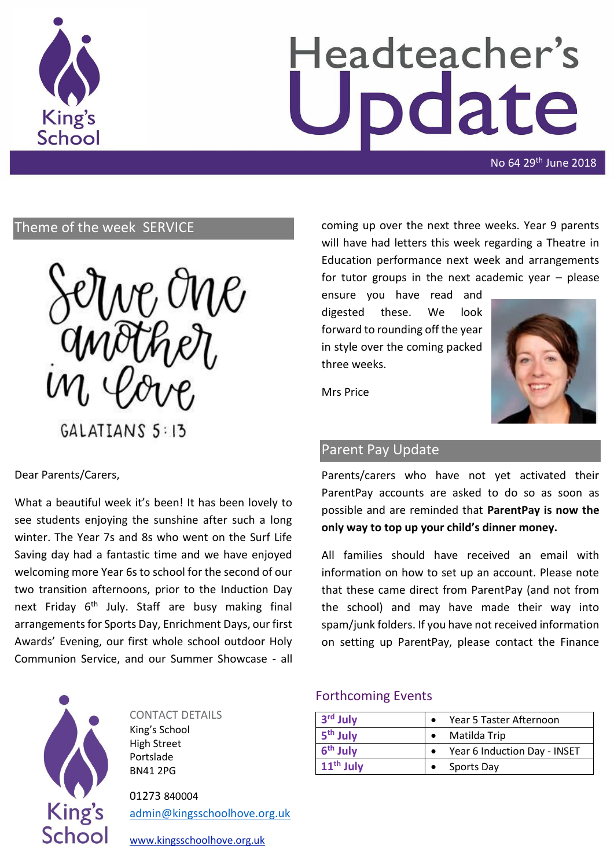

# Headteacher's date

No 64 29th June 2018

# Theme of the week SERVICE



Dear Parents/Carers,

What a beautiful week it's been! It has been lovely to see students enjoying the sunshine after such a long winter. The Year 7s and 8s who went on the Surf Life Saving day had a fantastic time and we have enjoyed welcoming more Year 6s to school for the second of our two transition afternoons, prior to the Induction Day next Friday  $6<sup>th</sup>$  July. Staff are busy making final arrangements for Sports Day, Enrichment Days, our first Awards' Evening, our first whole school outdoor Holy Communion Service, and our Summer Showcase - all



CONTACT DETAILS King's School High Street Portslade BN41 2PG

01273 840004 [admin@kingsschoolhove.org.uk](mailto:admin@kingsschoolhove.org.uk) [www.kingsschoolhove.org.uk](http://www.kingsschoolhove.org.uk/)

coming up over the next three weeks. Year 9 parents will have had letters this week regarding a Theatre in Education performance next week and arrangements for tutor groups in the next academic year – please

ensure you have read and digested these. We look forward to rounding off the year in style over the coming packed three weeks.



Mrs Price

# Parent Pay Update

Parents/carers who have not yet activated their ParentPay accounts are asked to do so as soon as possible and are reminded that **ParentPay is now the only way to top up your child's dinner money.**

All families should have received an email with information on how to set up an account. Please note that these came direct from ParentPay (and not from the school) and may have made their way into spam/junk folders. If you have not received information on setting up ParentPay, please contact the Finance

### Forthcoming Events

| 3 <sup>rd</sup> July | Year 5 Taster Afternoon      |
|----------------------|------------------------------|
| 5 <sup>th</sup> July | Matilda Trip                 |
| 6 <sup>th</sup> July | Year 6 Induction Day - INSET |
| $11th$ July          | <b>Sports Day</b>            |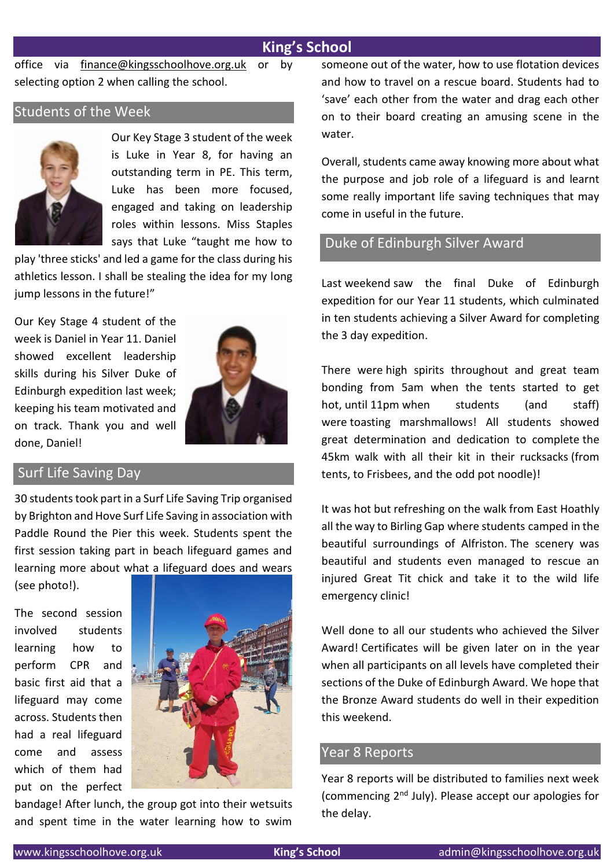# **King's School**

office via [finance@kingsschoolhove.org.uk](mailto:finance@kingsschoolhove.org.uk) or by selecting option 2 when calling the school.

# Students of the Week



Our Key Stage 3 student of the week is Luke in Year 8, for having an outstanding term in PE. This term, Luke has been more focused, engaged and taking on leadership roles within lessons. Miss Staples says that Luke "taught me how to

play 'three sticks' and led a game for the class during his athletics lesson. I shall be stealing the idea for my long jump lessons in the future!"

Our Key Stage 4 student of the week is Daniel in Year 11. Daniel showed excellent leadership skills during his Silver Duke of Edinburgh expedition last week; keeping his team motivated and on track. Thank you and well done, Daniel!



## Surf Life Saving Day

30 students took part in a Surf Life Saving Trip organised by Brighton and Hove Surf Life Saving in association with Paddle Round the Pier this week. Students spent the first session taking part in beach lifeguard games and learning more about what a lifeguard does and wears

(see photo!).

The second session involved students learning how to perform CPR and basic first aid that a lifeguard may come across. Students then had a real lifeguard come and assess which of them had put on the perfect



bandage! After lunch, the group got into their wetsuits and spent time in the water learning how to swim someone out of the water, how to use flotation devices and how to travel on a rescue board. Students had to 'save' each other from the water and drag each other on to their board creating an amusing scene in the water.

Overall, students came away knowing more about what the purpose and job role of a lifeguard is and learnt some really important life saving techniques that may come in useful in the future.

### Duke of Edinburgh Silver Award

Last weekend saw the final Duke of Edinburgh expedition for our Year 11 students, which culminated in ten students achieving a Silver Award for completing the 3 day expedition.

There were high spirits throughout and great team bonding from 5am when the tents started to get hot, until 11pm when students (and staff) were toasting marshmallows! All students showed great determination and dedication to complete the 45km walk with all their kit in their rucksacks (from tents, to Frisbees, and the odd pot noodle)!

It was hot but refreshing on the walk from East Hoathly all the way to Birling Gap where students camped in the beautiful surroundings of Alfriston. The scenery was beautiful and students even managed to rescue an injured Great Tit chick and take it to the wild life emergency clinic!

Well done to all our students who achieved the Silver Award! Certificates will be given later on in the year when all participants on all levels have completed their sections of the Duke of Edinburgh Award. We hope that the Bronze Award students do well in their expedition this weekend.

#### Year 8 Reports

Year 8 reports will be distributed to families next week (commencing 2nd July). Please accept our apologies for the delay.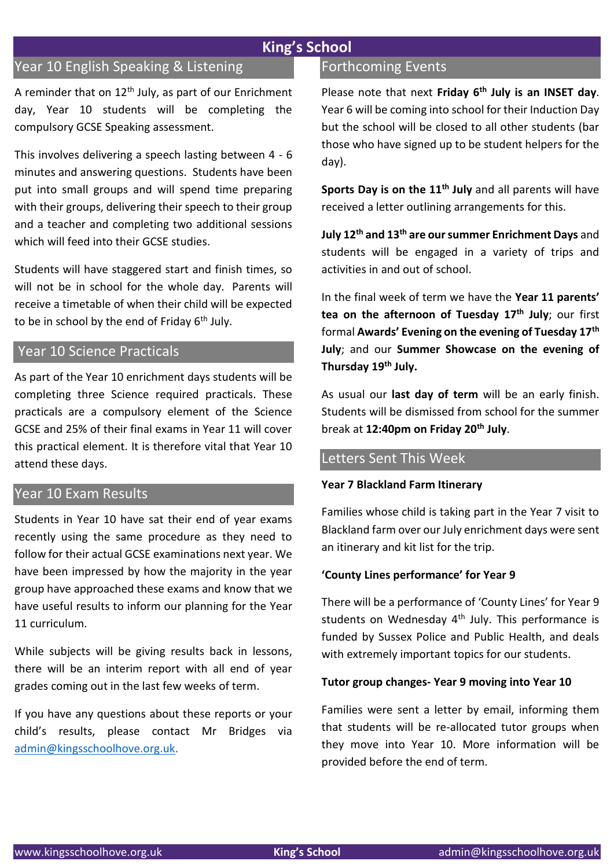# **King's School**

# Year 10 English Speaking & Listening

A reminder that on  $12<sup>th</sup>$  July, as part of our Enrichment day, Year 10 students will be completing the compulsory GCSE Speaking assessment.

This involves delivering a speech lasting between 4 - 6 minutes and answering questions. Students have been put into small groups and will spend time preparing with their groups, delivering their speech to their group and a teacher and completing two additional sessions which will feed into their GCSE studies.

Students will have staggered start and finish times, so will not be in school for the whole day. Parents will receive a timetable of when their child will be expected to be in school by the end of Friday  $6<sup>th</sup>$  July.

#### Year 10 Science Practicals

As part of the Year 10 enrichment days students will be completing three Science required practicals. These practicals are a compulsory element of the Science GCSE and 25% of their final exams in Year 11 will cover this practical element. It is therefore vital that Year 10 attend these days.

#### Year 10 Exam Results

Students in Year 10 have sat their end of year exams recently using the same procedure as they need to follow for their actual GCSE examinations next year. We have been impressed by how the majority in the year group have approached these exams and know that we have useful results to inform our planning for the Year 11 curriculum.

While subjects will be giving results back in lessons, there will be an interim report with all end of year grades coming out in the last few weeks of term.

If you have any questions about these reports or your child's results, please contact Mr Bridges via [admin@kingsschoolhove.org.uk.](mailto:admin@kingsschoolhove.org.uk)

# Forthcoming Events

Please note that next **Friday 6th July is an INSET day**. Year 6 will be coming into school for their Induction Day but the school will be closed to all other students (bar those who have signed up to be student helpers for the day).

**Sports Day is on the 11th July** and all parents will have received a letter outlining arrangements for this.

**July 12th and 13th are our summer Enrichment Days** and students will be engaged in a variety of trips and activities in and out of school.

In the final week of term we have the **Year 11 parents' tea on the afternoon of Tuesday 17th July**; our first formal **Awards' Evening on the evening of Tuesday 17th July**; and our **Summer Showcase on the evening of Thursday 19th July.**

As usual our **last day of term** will be an early finish. Students will be dismissed from school for the summer break at **12:40pm on Friday 20th July**.

# Letters Sent This Week

#### **Year 7 Blackland Farm Itinerary**

Families whose child is taking part in the Year 7 visit to Blackland farm over our July enrichment days were sent an itinerary and kit list for the trip.

#### **'County Lines performance' for Year 9**

There will be a performance of 'County Lines' for Year 9 students on Wednesday  $4<sup>th</sup>$  July. This performance is funded by Sussex Police and Public Health, and deals with extremely important topics for our students.

#### **Tutor group changes- Year 9 moving into Year 10**

Families were sent a letter by email, informing them that students will be re-allocated tutor groups when they move into Year 10. More information will be provided before the end of term.